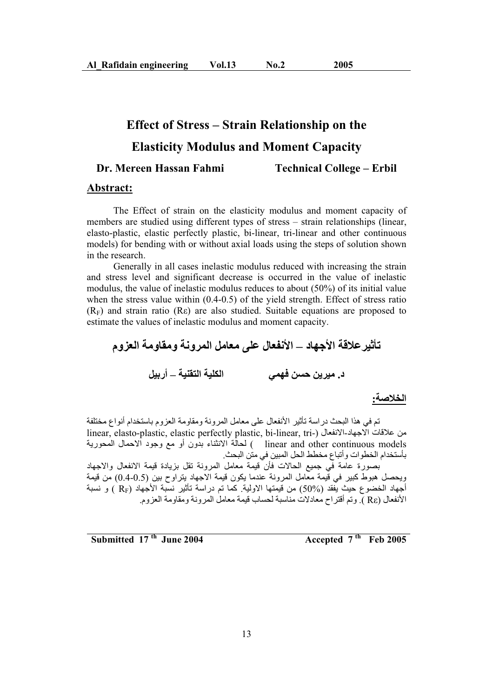# **Effect of Stress – Strain Relationship on the**

# **Elasticity Modulus and Moment Capacity**

#### **Dr. Mereen Hassan Fahmi Technical College – Erbil**

#### **Abstract:**

 The Effect of strain on the elasticity modulus and moment capacity of members are studied using different types of stress – strain relationships (linear, elasto-plastic, elastic perfectly plastic, bi-linear, tri-linear and other continuous models) for bending with or without axial loads using the steps of solution shown in the research.

 Generally in all cases inelastic modulus reduced with increasing the strain and stress level and significant decrease is occurred in the value of inelastic modulus, the value of inelastic modulus reduces to about (50%) of its initial value when the stress value within (0.4-0.5) of the yield strength. Effect of stress ratio  $(R<sub>F</sub>)$  and strain ratio (R $\varepsilon$ ) are also studied. Suitable equations are proposed to estimate the values of inelastic modulus and moment capacity.

تأثير علاقة الأجهاد \_ الأنفعال على معامل المرونـة ومقاومـة العزوم **ϞϴΑέ – ΔϴϨϘΘϟ ΔϴϠϜϟ ϲϤϬϓ ϦδΣ Ϧϳήϴϣ .Ω**

#### الخلاصة:

تم في هذا البحث در اسة تأثير الأنفعال على معامل المرونة ومقاومة العزوم باستخدام أنواع مختلفة linear, elasto-plastic, elastic perfectly plastic, bi-linear, tri-) الانفعال (-linear, elasto-plastic, elastic محاف الانتشاء بدون أو مع وجود الاحمال المحورية ( linear and other continuous models بأستخدام الخطوات وأتباع مخطط الحل المبين في متن البحث.

بصورة عامة في جميع الحالات فأن قيمة معامل المرونة تقل بزيادة قيمة الانفعال والاجهاد ويحصل هبوط كبير في قيمة معامل المرونة عندما يكون قيمة الاجهاد بتراوح بين (0.5-0.4) من قيمة أجهاد الخضوع حيث يُّفقد (50%) من قَيْمَتها الاولية. كما تم دراسة تأثير نسبة الأجهاد (R<sub>F</sub> ) و نسبة الأنفعال (Rε ) , وتم أفتر اح معادلات مناسبة لحساب قيمة معامل المر ونـة و مقاو مـة العز و م.

**Accepted 7<sup>th</sup> Feb 2005 Accepted 7<sup>th</sup> Feb 2005**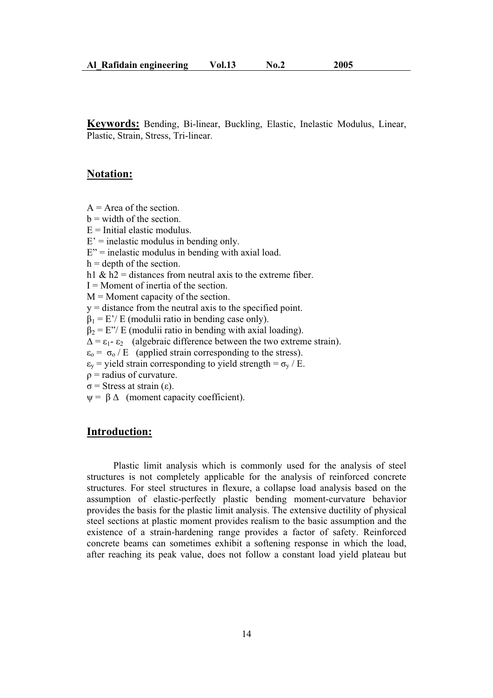**Keywords:** Bending, Bi-linear, Buckling, Elastic, Inelastic Modulus, Linear, Plastic, Strain, Stress, Tri-linear.

# **Notation:**

- $A = Area of the section.$
- $b = width of the section.$
- $E =$ Initial elastic modulus.
- $E'$  = inelastic modulus in bending only.
- $E''$  = inelastic modulus in bending with axial load.
- $h =$  depth of the section.
- h1 &  $h2$  = distances from neutral axis to the extreme fiber.
- $I =$ Moment of inertia of the section.
- $M =$ Moment capacity of the section.
- y = distance from the neutral axis to the specified point.
- $\beta_1 = E'/E$  (modulii ratio in bending case only).
- $\beta_2 = E''/E$  (modulii ratio in bending with axial loading).
- $\Delta = \varepsilon_1 \varepsilon_2$  (algebraic difference between the two extreme strain).
- $\varepsilon_0 = \sigma_0 / E$  (applied strain corresponding to the stress).
- $\varepsilon_{v}$  = yield strain corresponding to yield strength =  $\sigma_{v}$  / E.
- $\rho$  = radius of curvature.
- $\sigma$  = Stress at strain ( $\varepsilon$ ).
- $\psi = \beta \Delta$  (moment capacity coefficient).

## **Introduction:**

 Plastic limit analysis which is commonly used for the analysis of steel structures is not completely applicable for the analysis of reinforced concrete structures. For steel structures in flexure, a collapse load analysis based on the assumption of elastic-perfectly plastic bending moment-curvature behavior provides the basis for the plastic limit analysis. The extensive ductility of physical steel sections at plastic moment provides realism to the basic assumption and the existence of a strain-hardening range provides a factor of safety. Reinforced concrete beams can sometimes exhibit a softening response in which the load, after reaching its peak value, does not follow a constant load yield plateau but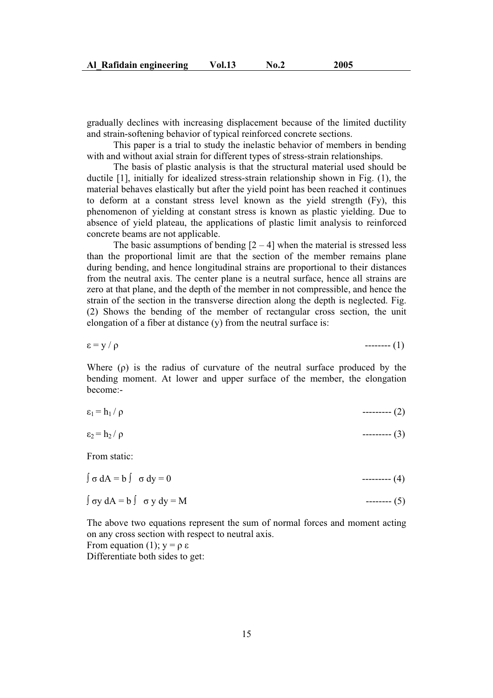gradually declines with increasing displacement because of the limited ductility and strain-softening behavior of typical reinforced concrete sections.

 This paper is a trial to study the inelastic behavior of members in bending with and without axial strain for different types of stress-strain relationships.

 The basis of plastic analysis is that the structural material used should be ductile [1], initially for idealized stress-strain relationship shown in Fig. (1), the material behaves elastically but after the yield point has been reached it continues to deform at a constant stress level known as the yield strength (Fy), this phenomenon of yielding at constant stress is known as plastic yielding. Due to absence of yield plateau, the applications of plastic limit analysis to reinforced concrete beams are not applicable.

The basic assumptions of bending  $[2 - 4]$  when the material is stressed less than the proportional limit are that the section of the member remains plane during bending, and hence longitudinal strains are proportional to their distances from the neutral axis. The center plane is a neutral surface, hence all strains are zero at that plane, and the depth of the member in not compressible, and hence the strain of the section in the transverse direction along the depth is neglected. Fig. (2) Shows the bending of the member of rectangular cross section, the unit elongation of a fiber at distance (y) from the neutral surface is:

 $\epsilon = y / \rho$  ------- (1)

Where  $(\rho)$  is the radius of curvature of the neutral surface produced by the bending moment. At lower and upper surface of the member, the elongation become:-

| $\varepsilon_1 = h_1$<br>---------- |  | . . |  |
|-------------------------------------|--|-----|--|
|-------------------------------------|--|-----|--|

 $\varepsilon_2 = h_2 / \rho$  -------- (3)

From static:

 $\int \sigma dA = b \int \sigma dy = 0$  --------- (4)

$$
\int \sigma y \, dA = b \int \sigma y \, dy = M \tag{5}
$$

The above two equations represent the sum of normal forces and moment acting on any cross section with respect to neutral axis. From equation (1);  $y = \rho \varepsilon$ 

Differentiate both sides to get: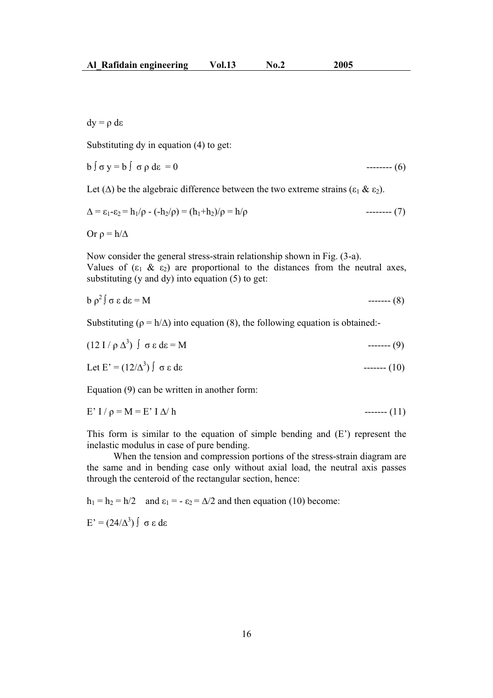$dy = \rho d\varepsilon$ 

Substituting dy in equation (4) to get:

b ı y = b ıȡ dİ = 0 -------- (6)

Let ( $\Delta$ ) be the algebraic difference between the two extreme strains ( $\epsilon_1 \& \epsilon_2$ ).

$$
\Delta = \varepsilon_1 - \varepsilon_2 = h_1/\rho - (-h_2/\rho) = (h_1 + h_2)/\rho = h/\rho
$$
 \n
$$
\tag{7}
$$

Or  $\rho = h/\Delta$ 

Now consider the general stress-strain relationship shown in Fig. (3-a). Values of  $(\epsilon_1 \& \epsilon_2)$  are proportional to the distances from the neutral axes, substituting (y and dy) into equation (5) to get:

$$
b \rho^2 \int \sigma \epsilon \, d\epsilon = M \tag{8}
$$

Substituting ( $\rho = h/\Delta$ ) into equation (8), the following equation is obtained:-

$$
(12 I/\rho \Delta^3) \int \sigma \epsilon \, d\epsilon = M \qquad (9)
$$

Let E' = (12/¨<sup>3</sup> ) ıİ dİ ------- (10)

Equation (9) can be written in another form:

E' I / ȡ = M = E' I ¨/ h ------- (11)

This form is similar to the equation of simple bending and (E') represent the inelastic modulus in case of pure bending.

 When the tension and compression portions of the stress-strain diagram are the same and in bending case only without axial load, the neutral axis passes through the centeroid of the rectangular section, hence:

 $h_1 = h_2 = h/2$  and  $\varepsilon_1 = -\varepsilon_2 = \Delta/2$  and then equation (10) become:

 $E' = (24/\Delta^3) \int \sigma \epsilon d\epsilon$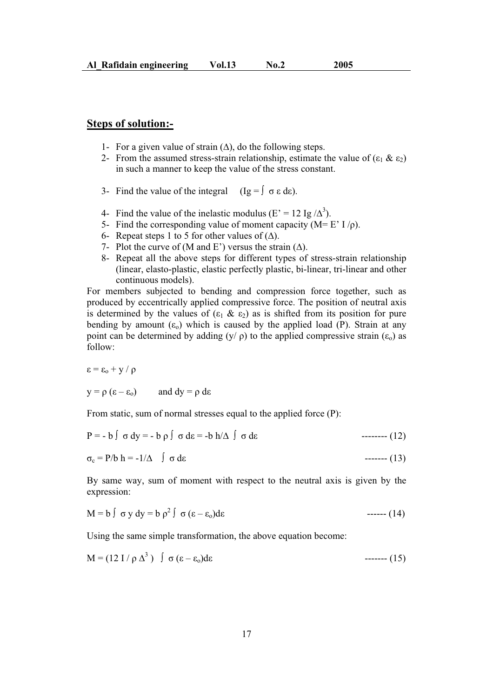### **Steps of solution:-**

- 1- For a given value of strain  $(\Delta)$ , do the following steps.
- 2- From the assumed stress-strain relationship, estimate the value of  $(\epsilon_1 \& \epsilon_2)$ in such a manner to keep the value of the stress constant.
- 3- Find the value of the integral  $(Ig = \int \sigma \varepsilon d\varepsilon)$ .
- 4- Find the value of the inelastic modulus (E' = 12 Ig  $\Delta^3$ ).
- 5- Find the corresponding value of moment capacity ( $M = E' I/\rho$ ).
- 6- Repeat steps 1 to 5 for other values of  $(\Delta)$ .
- 7- Plot the curve of (M and E') versus the strain  $(\Delta)$ .
- 8- Repeat all the above steps for different types of stress-strain relationship (linear, elasto-plastic, elastic perfectly plastic, bi-linear, tri-linear and other continuous models).

For members subjected to bending and compression force together, such as produced by eccentrically applied compressive force. The position of neutral axis is determined by the values of  $(\epsilon_1 \& \epsilon_2)$  as is shifted from its position for pure bending by amount  $(\epsilon_0)$  which is caused by the applied load (P). Strain at any point can be determined by adding  $(y / \rho)$  to the applied compressive strain  $(\epsilon_0)$  as follow:

 $\epsilon = \epsilon_0 + v / \rho$ 

$$
y = \rho (\epsilon - \epsilon_0)
$$
 and  $dy = \rho d\epsilon$ 

From static, sum of normal stresses equal to the applied force (P):

$$
P = -b \int \sigma dy = -b \rho \int \sigma d\varepsilon = -b h/\Delta \int \sigma d\varepsilon
$$
 -------(12)

$$
\sigma_c = P/b \; h = -1/\Delta \quad \int \sigma \; d\varepsilon \qquad (13)
$$

By same way, sum of moment with respect to the neutral axis is given by the expression:

$$
M = b \int \sigma y dy = b \rho^2 \int \sigma (\epsilon - \epsilon_0) d\epsilon
$$
 ----(14)

Using the same simple transformation, the above equation become:

M = (12 I / ȡ ¨<sup>3</sup> ) ı (İ – İo)dİ ------- (15)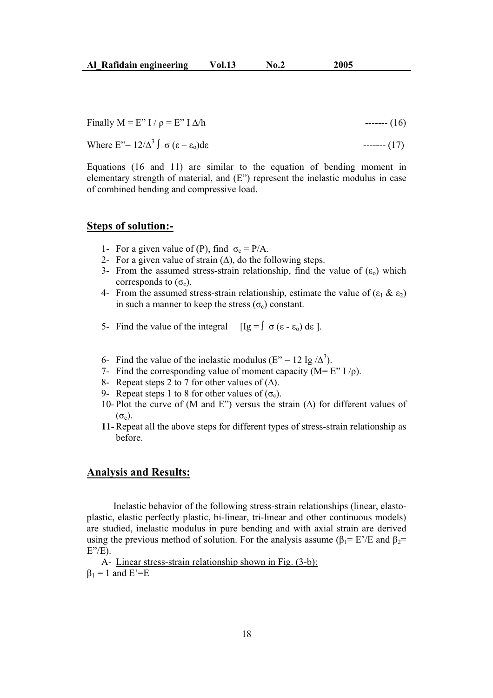Finally  $M = E'' I / \rho = E'' I \Delta/h$  ------- (16)

Where  $E'' = 12/\Delta^3 \int \sigma (\epsilon - \epsilon_0) d\epsilon$  ------ (17)

Equations (16 and 11) are similar to the equation of bending moment in elementary strength of material, and (E") represent the inelastic modulus in case of combined bending and compressive load.

#### **Steps of solution:-**

- 1- For a given value of (P), find  $\sigma_c = P/A$ .
- 2- For a given value of strain  $(\Delta)$ , do the following steps.
- 3- From the assumed stress-strain relationship, find the value of  $(\epsilon_0)$  which corresponds to  $(\sigma_c)$ .
- 4- From the assumed stress-strain relationship, estimate the value of  $(\epsilon_1 \& \epsilon_2)$ in such a manner to keep the stress  $(\sigma_c)$  constant.
- 5- Find the value of the integral  $[Ig = \int \sigma (\epsilon \epsilon_0) d\epsilon]$ .
- 6- Find the value of the inelastic modulus (E" = 12 Ig  $\Delta^3$ ).
- 7- Find the corresponding value of moment capacity ( $M = E'' I/\rho$ ).
- 8- Repeat steps 2 to 7 for other values of  $(\Delta)$ .
- 9- Repeat steps 1 to 8 for other values of  $(\sigma_c)$ .
- 10- Plot the curve of (M and E") versus the strain  $(\Delta)$  for different values of  $(\sigma_c)$ .
- **11-**Repeat all the above steps for different types of stress-strain relationship as before.

### **Analysis and Results:**

 Inelastic behavior of the following stress-strain relationships (linear, elastoplastic, elastic perfectly plastic, bi-linear, tri-linear and other continuous models) are studied, inelastic modulus in pure bending and with axial strain are derived using the previous method of solution. For the analysis assume ( $\beta_1 = E'/E$  and  $\beta_2 =$  $E''/E$ ).

A- Linear stress-strain relationship shown in Fig. (3-b):  $\beta_1 = 1$  and E'=E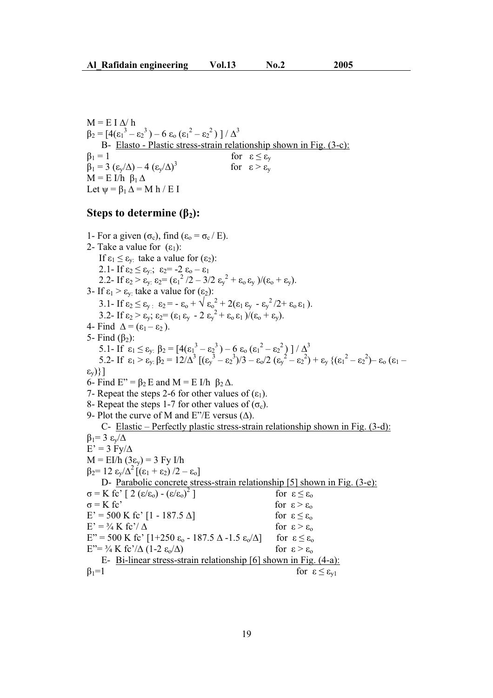$M = E I \Delta/h$  $\beta_2 = [4(\epsilon_1^3 - \epsilon_2^3) - 6 \epsilon_0 (\epsilon_1^2 - \epsilon_2^2)] / \Delta^3$ B- Elasto - Plastic stress-strain relationship shown in Fig. (3-c):  $\beta_1 = 1$  for  $\varepsilon \leq \varepsilon_y$  $\beta_1 = 3 \left( \frac{\varepsilon_y}{\Delta} \right) - 4 \left( \frac{\varepsilon_y}{\Delta} \right)^3$ for  $\epsilon > \epsilon_v$  $M = E I/h \beta_1 \Delta$ Let  $\psi = \beta_1 \Delta = M h / E I$ 

### **Steps to determine**  $(\beta_2)$ **:**

1- For a given  $(\sigma_c)$ , find  $(\epsilon_o = \sigma_c / E)$ . 2- Take a value for  $(\epsilon_1)$ : If  $\varepsilon_1 \leq \varepsilon_{\rm v}$ : take a value for  $(\varepsilon_2)$ : 2.1- If  $\varepsilon_2 \leq \varepsilon_{y}$ ;  $\varepsilon_2 = -2 \varepsilon_0 - \varepsilon_1$ 2.2- If  $\varepsilon_2 > \varepsilon_y$ :  $\varepsilon_2 = (\varepsilon_1^2 / 2 - 3/2 \varepsilon_y^2 + \varepsilon_0 \varepsilon_y) / (\varepsilon_0 + \varepsilon_y)$ . 3- If  $\varepsilon_1 > \varepsilon_{y}$ : take a value for  $(\varepsilon_2)$ : 3.1- If  $\varepsilon_2 \leq \varepsilon_{y}$ :  $\varepsilon_2 = -\varepsilon_0 + \sqrt{\varepsilon_0^2 + 2(\varepsilon_1 \varepsilon_y - \varepsilon_y^2/2 + \varepsilon_0 \varepsilon_1)}$ . 3.2- If  $\varepsilon_2 > \varepsilon_y$ ;  $\varepsilon_2 = (\varepsilon_1 \varepsilon_y - 2 \varepsilon_y^2 + \varepsilon_0 \varepsilon_1) / (\varepsilon_0 + \varepsilon_y)$ . 4- Find  $\Delta = (\epsilon_1 - \epsilon_2)$ . 5- Find  $(\beta_2)$ : 5.1- If  $\varepsilon_1 \leq \varepsilon_{y:} \beta_2 = [4(\varepsilon_1^3 - \varepsilon_2^3) - 6 \varepsilon_0 (\varepsilon_1^2 - \varepsilon_2^2)] / \Delta^3$ 5.2- If  $\varepsilon_1 > \varepsilon_{y}$ ;  $\beta_2 = 12/\Delta^3 \left[ (\varepsilon_y^3 - \varepsilon_2^3)/3 - \varepsilon_0/2 (\varepsilon_y^2 - \varepsilon_2^2) + \varepsilon_y \left( (\varepsilon_1^2 - \varepsilon_2^2) - \varepsilon_0 (\varepsilon_1 - \varepsilon_2^2) \right) \right]$  $\{\xi_{V}\}\}\$ 6- Find  $E'' = \beta_2 E$  and  $M = E I/h \beta_2 \Delta$ . 7- Repeat the steps 2-6 for other values of  $(\epsilon_1)$ . 8- Repeat the steps 1-7 for other values of  $(\sigma_c)$ . 9- Plot the curve of M and E"/E versus  $(\Delta)$ . C- Elastic – Perfectly plastic stress-strain relationship shown in Fig. (3-d):  $\beta_1 = 3 \epsilon_v/\Delta$  $E' = 3$  Fy/ $\Delta$  $M = EI/h (3\varepsilon_v) = 3 Fv I/h$  $\beta_2 = 12 \epsilon_v/\Delta^2 [(\epsilon_1 + \epsilon_2)/2 - \epsilon_0]$ D- Parabolic concrete stress-strain relationship [5] shown in Fig. (3-e):  $\sigma$  = K fc' [ 2 (ε/ε<sub>ο</sub>) - (ε/ε<sub>ο</sub>)<sup>2</sup> for  $\epsilon \leq \epsilon_0$  $\sigma = K f c'$  for  $\varepsilon > \varepsilon_0$  $E' = 500$  K fc'  $[1 - 187.5 \Delta]$  for  $\epsilon \leq \epsilon_0$  $E' = \frac{3}{4} K f c'/\Delta$  for  $\epsilon > \epsilon_0$  $E'' = 500$  K fc'  $[1+250 \varepsilon_0 - 187.5 \Delta - 1.5 \varepsilon_0/\Delta]$  for  $\varepsilon \le \varepsilon_0$  $E'' = \frac{3}{4} K$  fc'/ $\Delta$  (1-2  $\varepsilon$ / $\Delta$ ) for  $\varepsilon > \varepsilon_0$ E- Bi-linear stress-strain relationship [6] shown in Fig. (4-a):  $\beta_1=1$  for  $\varepsilon \leq \varepsilon_{v1}$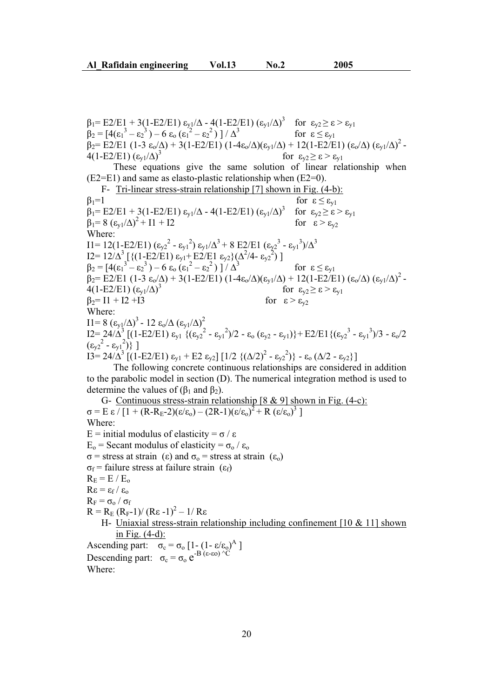$\beta_1 = \text{E2/E1} + 3(1-\text{E2/E1}) \varepsilon_{y1}/\Delta - 4(1-\text{E2/E1}) (\varepsilon_{y1}/\Delta)^3$  for  $\varepsilon_{y2} \ge \varepsilon > \varepsilon_{y1}$  $\beta_2 = [4(\epsilon_1^3 - \epsilon_2^3) - 6 \epsilon_0 (\epsilon_1^2 - \epsilon_2^3)]$ for  $\epsilon < \epsilon_{v1}$  $\beta_2 = E2/E1 (1-3 \epsilon_0/\Delta) + 3(1-E2/E1) (1-4\epsilon_0/\Delta)(\epsilon_{y1}/\Delta) + 12(1-E2/E1) (\epsilon_0/\Delta) (\epsilon_{y1}/\Delta)^2$  $4(1-E2/E1)(\epsilon_{v1}/\Delta)^3$ for  $\varepsilon_{v2} \geq \varepsilon > \varepsilon_{v1}$  These equations give the same solution of linear relationship when  $(E2=E1)$  and same as elasto-plastic relationship when  $(E2=0)$ . F- Tri-linear stress-strain relationship [7] shown in Fig. (4-b):  $\beta_1=1$  for  $\varepsilon \leq \varepsilon_{v1}$  $\beta_1 = E2/E1 + 3(1-E2/E1) \epsilon_{v1}/\Delta - 4(1-E2/E1) (\epsilon_{v1}/\Delta)^3$ for  $\varepsilon_{v2} \geq \varepsilon > \varepsilon_{v1}$  $\beta_1 = 8 \left(\varepsilon_{y1}/\Delta\right)^2 + 11 + 12$  for  $\varepsilon > \varepsilon_{y2}$ Where:  $I1 = 12(1-E2/E1) (\epsilon_{y2}^2 - \epsilon_{y1}^2) \epsilon_{y1}/\Delta^3 + 8 E2/E1 (\epsilon_{y2}^3 - \epsilon_{y1}^3)/\Delta^3$  $I2 = 12/\Delta^3 \left[ \left\{ (1 - \text{E2/E1}) \epsilon_{y1} + \text{E2/E1} \epsilon_{y2} \right\} (\Delta^2/4 - \epsilon_{y2}^2) \right]$  $\beta_2 = [4(\epsilon_1^3 - \epsilon_2^3) - 6 \epsilon_0 (\epsilon_1^2 - \epsilon_2^3)]$ for  $\epsilon \leq \epsilon_{v1}$  $\beta_2 = E2/E1 (1-3 \epsilon_0/\Delta) + 3(1-E2/E1) (1-4\epsilon_0/\Delta)(\epsilon_{y1}/\Delta) + 12(1-E2/E1) (\epsilon_0/\Delta) (\epsilon_{y1}/\Delta)^2 4(1-E2/E1)(\epsilon_{v1}/\Delta)^3$ for  $\varepsilon_{v2} \geq \varepsilon > \varepsilon_{v1}$  $\beta_2= 11 + 12 + 13$  for  $\varepsilon > \varepsilon_{v2}$ Where:  $I1=8~(\epsilon_{y1}/\Delta)^3$  - 12  $\epsilon_0/\Delta~(\epsilon_{y1}/\Delta)^2$  $I2 = 24/\Delta^3 \left[ (1-E2/E1) \epsilon_{y1} \left\{ (\epsilon_{y2}^2 - \epsilon_{y1}^2)/2 - \epsilon_0 (\epsilon_{y2} - \epsilon_{y1}) \right\} + E2/E1 \left\{ (\epsilon_{y2}^3 - \epsilon_{y1}^3)/3 - \epsilon_0/2 \right\} \right]$  $(\epsilon_{y2}^2 - \epsilon_{y1}^2)$ ]  $\overline{13} = 24/\Delta^3 \left[ (1-E2/E1) \epsilon_{y1} + E2 \epsilon_{y2} \right] \left[ 1/2 \left\{ (\Delta/2)^2 - \epsilon_{y2}^2 \right\} \right] - \epsilon_0 \left( \Delta/2 - \epsilon_{y2} \right) \right]$ 

 The following concrete continuous relationships are considered in addition to the parabolic model in section (D). The numerical integration method is used to determine the values of  $(\beta_1$  and  $\beta_2)$ .

G- Continuous stress-strain relationship [8 & 9] shown in Fig. (4-c):  $\sigma = E \epsilon / [1 + (R-R_E-2)(\epsilon/\epsilon_0) - (2R-1)(\epsilon/\epsilon_0)^2 + R (\epsilon/\epsilon_0)^3]$ Where: E = initial modulus of elasticity =  $\sigma / \varepsilon$  $E_0$  = Secant modulus of elasticity =  $\sigma_0 / \varepsilon_0$  $\sigma$  = stress at strain ( $\varepsilon$ ) and  $\sigma$ <sub>o</sub> = stress at strain ( $\varepsilon$ <sub>o</sub>)  $\sigma_f$  = failure stress at failure strain ( $\varepsilon_f$ )  $R_E = E / E_o$  $R\epsilon = \epsilon_f / \epsilon_o$  $R_F = \sigma_o / \sigma_f$  $R = R_E (R_F - 1)/(R_E - 1)^2 - 1/R_E$ H- Uniaxial stress-strain relationship including confinement [10 & 11] shown in Fig. (4-d): Ascending part:  $\sigma_c = \sigma_o [1 - (1 - \varepsilon/\varepsilon_o)^A]$ Descending part:  $\sigma_c = \sigma_o e^{-B (ε - \epsilon o) \Delta C}$ Where: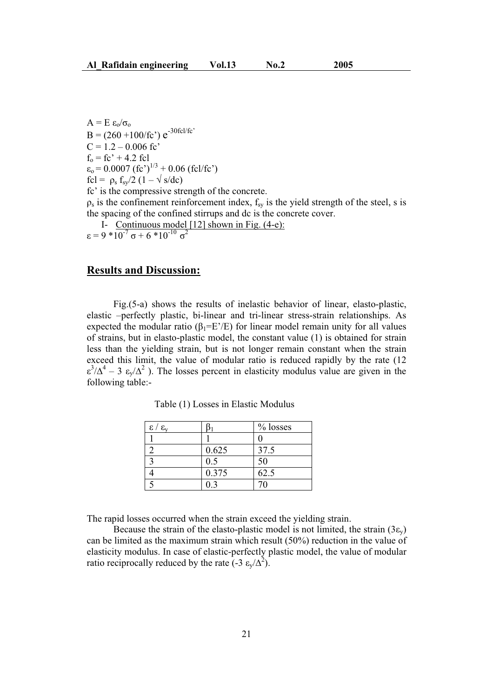$A = E \epsilon_0/\sigma_0$  $B = (260 + 100/fc') e^{-30fc1/fc'}$  $C = 1.2 - 0.006$  fc'  $f_0 = fc' + 4.2$  fcl  $\varepsilon_0$  = 0.0007 (fc')<sup>1/3</sup> + 0.06 (fcl/fc') fcl =  $\rho_s$  f<sub>sy</sub>/2 (1 –  $\sqrt{s/dc}$ ) fc' is the compressive strength of the concrete.  $\rho_s$  is the confinement reinforcement index,  $f_{sy}$  is the yield strength of the steel, s is the spacing of the confined stirrups and dc is the concrete cover.

I- Continuous model [12] shown in Fig. (4-e):

$$
\varepsilon = 9 * 10^{-7} \sigma + 6 * 10^{-10} \sigma^2
$$

### **Results and Discussion:**

 Fig.(5-a) shows the results of inelastic behavior of linear, elasto-plastic, elastic –perfectly plastic, bi-linear and tri-linear stress-strain relationships. As expected the modular ratio ( $\beta_1=E'/E$ ) for linear model remain unity for all values of strains, but in elasto-plastic model, the constant value (1) is obtained for strain less than the yielding strain, but is not longer remain constant when the strain exceed this limit, the value of modular ratio is reduced rapidly by the rate (12  $\epsilon^3/\Delta^4$  – 3  $\epsilon_y/\Delta^2$ ). The losses percent in elasticity modulus value are given in the following table:-

| $\epsilon / \epsilon_{v}$ |       | $%$ losses |
|---------------------------|-------|------------|
|                           |       |            |
|                           | 0.625 | 37.5       |
|                           | 0.5   | 50         |
|                           | 0.375 | 62.5       |
|                           | በ 3   | 70         |

Table (1) Losses in Elastic Modulus

The rapid losses occurred when the strain exceed the yielding strain.

Because the strain of the elasto-plastic model is not limited, the strain  $(3\varepsilon_{v})$ can be limited as the maximum strain which result (50%) reduction in the value of elasticity modulus. In case of elastic-perfectly plastic model, the value of modular ratio reciprocally reduced by the rate  $(-3 \epsilon_y/\Delta^2)$ .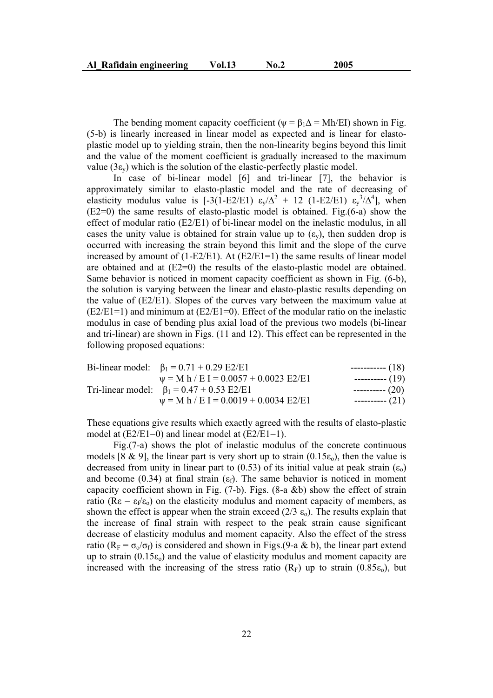The bending moment capacity coefficient ( $\psi = \beta_1 \Delta = Mh/EI$ ) shown in Fig. (5-b) is linearly increased in linear model as expected and is linear for elastoplastic model up to yielding strain, then the non-linearity begins beyond this limit and the value of the moment coefficient is gradually increased to the maximum value ( $3\varepsilon$ <sub>v</sub>) which is the solution of the elastic-perfectly plastic model.

 In case of bi-linear model [6] and tri-linear [7], the behavior is approximately similar to elasto-plastic model and the rate of decreasing of elasticity modulus value is [-3(1-E2/E1)  $\varepsilon_y/\Delta^2$  + 12 (1-E2/E1)  $\varepsilon_y^3/\Delta^4$ ], when (E2=0) the same results of elasto-plastic model is obtained. Fig.(6-a) show the effect of modular ratio (E2/E1) of bi-linear model on the inelastic modulus, in all cases the unity value is obtained for strain value up to  $(\epsilon_{v})$ , then sudden drop is occurred with increasing the strain beyond this limit and the slope of the curve increased by amount of  $(1-E2/E1)$ . At  $(E2/E1=1)$  the same results of linear model are obtained and at  $(E2=0)$  the results of the elasto-plastic model are obtained. Same behavior is noticed in moment capacity coefficient as shown in Fig. (6-b), the solution is varying between the linear and elasto-plastic results depending on the value of (E2/E1). Slopes of the curves vary between the maximum value at  $(E2/E1=1)$  and minimum at  $(E2/E1=0)$ . Effect of the modular ratio on the inelastic modulus in case of bending plus axial load of the previous two models (bi-linear and tri-linear) are shown in Figs. (11 and 12). This effect can be represented in the following proposed equations:

| Bi-linear model: $\beta_1 = 0.71 + 0.29$ E2/E1  | ------------ $(18)$ |
|-------------------------------------------------|---------------------|
| $\psi$ = M h / E I = 0.0057 + 0.0023 E2/E1      | ----------- (19)    |
| Tri-linear model: $\beta_1 = 0.47 + 0.53$ E2/E1 | ----------- $(20)$  |
| $\psi$ = M h / E I = 0.0019 + 0.0034 E2/E1      | $------(21)$        |

These equations give results which exactly agreed with the results of elasto-plastic model at  $(E2/E1=0)$  and linear model at  $(E2/E1=1)$ .

 Fig.(7-a) shows the plot of inelastic modulus of the concrete continuous models [8 & 9], the linear part is very short up to strain  $(0.15\varepsilon_0)$ , then the value is decreased from unity in linear part to (0.53) of its initial value at peak strain  $(\epsilon_0)$ and become (0.34) at final strain ( $\varepsilon_f$ ). The same behavior is noticed in moment capacity coefficient shown in Fig. (7-b). Figs. (8-a &b) show the effect of strain ratio ( $\text{Re} = \varepsilon_f/\varepsilon_o$ ) on the elasticity modulus and moment capacity of members, as shown the effect is appear when the strain exceed (2/3  $\varepsilon_0$ ). The results explain that the increase of final strain with respect to the peak strain cause significant decrease of elasticity modulus and moment capacity. Also the effect of the stress ratio ( $R_F = \sigma_0/\sigma_f$ ) is considered and shown in Figs.(9-a & b), the linear part extend up to strain  $(0.15\varepsilon_o)$  and the value of elasticity modulus and moment capacity are increased with the increasing of the stress ratio  $(R_F)$  up to strain  $(0.85\epsilon_0)$ , but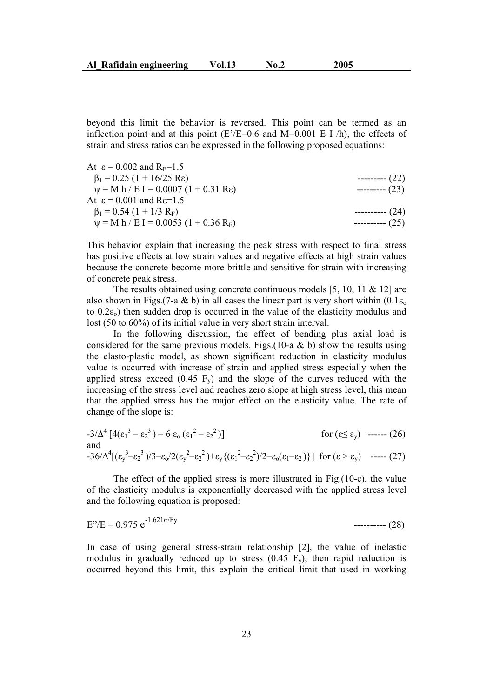beyond this limit the behavior is reversed. This point can be termed as an inflection point and at this point  $(E/EE=0.6$  and  $M=0.001$  E I /h), the effects of strain and stress ratios can be expressed in the following proposed equations:

| At $\varepsilon = 0.002$ and $R_F = 1.5$               |                   |
|--------------------------------------------------------|-------------------|
| $\beta_1 = 0.25 (1 + 16/25 \text{ Re})$                | ---------- $(22)$ |
| $\psi = M h / E I = 0.0007 (1 + 0.31 Re)$              | $---(23)$         |
| At $\varepsilon$ = 0.001 and R $\varepsilon$ =1.5      |                   |
| $\beta_1 = 0.54 (1 + 1/3 R_F)$                         | ---------- (24)   |
| $\psi$ = M h / E I = 0.0053 (1 + 0.36 R <sub>F</sub> ) | ---------- (25)   |

This behavior explain that increasing the peak stress with respect to final stress has positive effects at low strain values and negative effects at high strain values because the concrete become more brittle and sensitive for strain with increasing of concrete peak stress.

The results obtained using concrete continuous models [5, 10, 11 & 12] are also shown in Figs.(7-a & b) in all cases the linear part is very short within  $(0.1\varepsilon_0)$ to  $0.2\epsilon_0$ ) then sudden drop is occurred in the value of the elasticity modulus and lost (50 to 60%) of its initial value in very short strain interval.

 In the following discussion, the effect of bending plus axial load is considered for the same previous models. Figs.  $(10-a \& b)$  show the results using the elasto-plastic model, as shown significant reduction in elasticity modulus value is occurred with increase of strain and applied stress especially when the applied stress exceed  $(0.45 \text{ F}_v)$  and the slope of the curves reduced with the increasing of the stress level and reaches zero slope at high stress level, this mean that the applied stress has the major effect on the elasticity value. The rate of change of the slope is:

$$
-3/\Delta^{4} [4(\epsilon_{1}^{3} - \epsilon_{2}^{3}) - 6 \epsilon_{0} (\epsilon_{1}^{2} - \epsilon_{2}^{2})] \qquad \text{for } (\epsilon \leq \epsilon_{y}) \text{ --- } (26)
$$
  
and  

$$
-36/\Delta^{4} [(\epsilon_{y}^{3} - \epsilon_{2}^{3})/3 - \epsilon_{0}/2(\epsilon_{y}^{2} - \epsilon_{2}^{2}) + \epsilon_{y} {(\epsilon_{1}^{2} - \epsilon_{2}^{2})/2 - \epsilon_{0} (\epsilon_{1} - \epsilon_{2})}] \text{ for } (\epsilon > \epsilon_{y}) \text{ --- } (27)
$$

 The effect of the applied stress is more illustrated in Fig.(10-c), the value of the elasticity modulus is exponentially decreased with the applied stress level and the following equation is proposed:

$$
E''/E = 0.975 e^{-1.621\sigma/Fy}
$$
---(28)

In case of using general stress-strain relationship [2], the value of inelastic modulus in gradually reduced up to stress  $(0.45 \text{ F}_y)$ , then rapid reduction is occurred beyond this limit, this explain the critical limit that used in working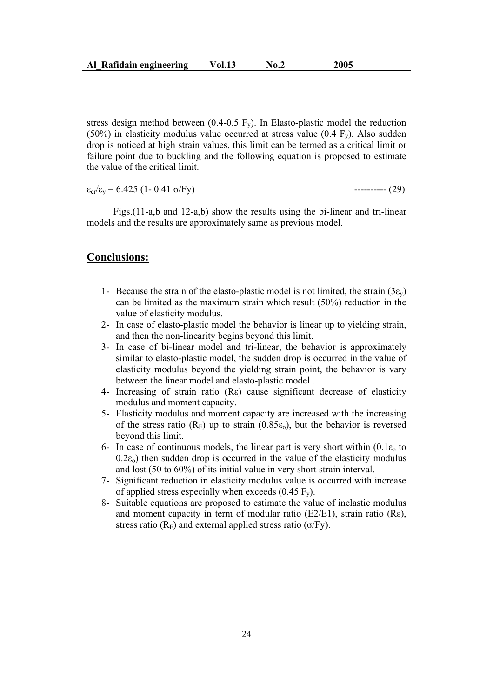stress design method between (0.4-0.5  $F_v$ ). In Elasto-plastic model the reduction (50%) in elasticity modulus value occurred at stress value (0.4  $F_v$ ). Also sudden drop is noticed at high strain values, this limit can be termed as a critical limit or failure point due to buckling and the following equation is proposed to estimate the value of the critical limit.

$$
\varepsilon_{cr}/\varepsilon_{v} = 6.425 (1 - 0.41 \text{ } \sigma/\text{Fy})
$$

 $-------(29)$ 

 Figs.(11-a,b and 12-a,b) show the results using the bi-linear and tri-linear models and the results are approximately same as previous model.

### **Conclusions:**

- 1- Because the strain of the elasto-plastic model is not limited, the strain  $(3\varepsilon_v)$ can be limited as the maximum strain which result (50%) reduction in the value of elasticity modulus.
- 2- In case of elasto-plastic model the behavior is linear up to yielding strain, and then the non-linearity begins beyond this limit.
- 3- In case of bi-linear model and tri-linear, the behavior is approximately similar to elasto-plastic model, the sudden drop is occurred in the value of elasticity modulus beyond the yielding strain point, the behavior is vary between the linear model and elasto-plastic model .
- 4- Increasing of strain ratio  $(Re)$  cause significant decrease of elasticity modulus and moment capacity.
- 5- Elasticity modulus and moment capacity are increased with the increasing of the stress ratio  $(R_F)$  up to strain  $(0.85\varepsilon_0)$ , but the behavior is reversed beyond this limit.
- 6- In case of continuous models, the linear part is very short within  $(0.1\varepsilon_0)$  to  $(0.2\varepsilon_0)$  then sudden drop is occurred in the value of the elasticity modulus and lost (50 to 60%) of its initial value in very short strain interval.
- 7- Significant reduction in elasticity modulus value is occurred with increase of applied stress especially when exceeds  $(0.45 \text{ F}_v)$ .
- 8- Suitable equations are proposed to estimate the value of inelastic modulus and moment capacity in term of modular ratio (E2/E1), strain ratio (R $\varepsilon$ ), stress ratio ( $R_F$ ) and external applied stress ratio ( $\sigma$ /Fy).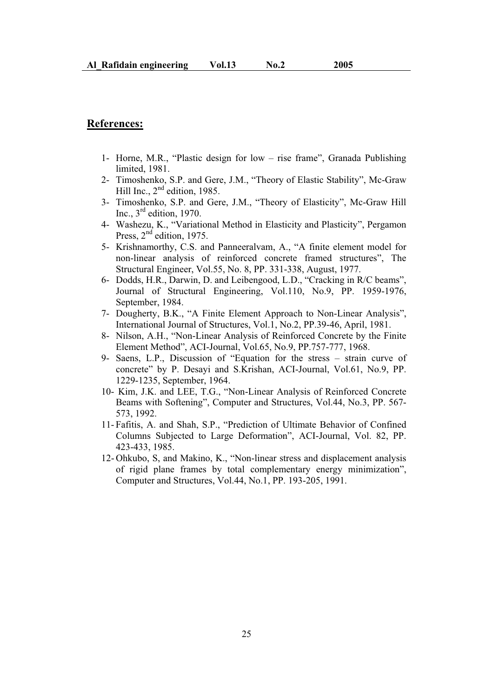## **References:**

- 1- Horne, M.R., "Plastic design for low rise frame", Granada Publishing limited, 1981.
- 2- Timoshenko, S.P. and Gere, J.M., "Theory of Elastic Stability", Mc-Graw Hill Inc.,  $2<sup>nd</sup>$  edition, 1985.
- 3- Timoshenko, S.P. and Gere, J.M., "Theory of Elasticity", Mc-Graw Hill Inc.,  $3<sup>rd</sup>$  edition, 1970.
- 4- Washezu, K., "Variational Method in Elasticity and Plasticity", Pergamon Press,  $2<sup>nd</sup>$  edition, 1975.
- 5- Krishnamorthy, C.S. and Panneeralvam, A., "A finite element model for non-linear analysis of reinforced concrete framed structures", The Structural Engineer, Vol.55, No. 8, PP. 331-338, August, 1977.
- 6- Dodds, H.R., Darwin, D. and Leibengood, L.D., "Cracking in R/C beams", Journal of Structural Engineering, Vol.110, No.9, PP. 1959-1976, September, 1984.
- 7- Dougherty, B.K., "A Finite Element Approach to Non-Linear Analysis", International Journal of Structures, Vol.1, No.2, PP.39-46, April, 1981.
- 8- Nilson, A.H., "Non-Linear Analysis of Reinforced Concrete by the Finite Element Method", ACI-Journal, Vol.65, No.9, PP.757-777, 1968.
- 9- Saens, L.P., Discussion of "Equation for the stress strain curve of concrete" by P. Desayi and S.Krishan, ACI-Journal, Vol.61, No.9, PP. 1229-1235, September, 1964.
- 10- Kim, J.K. and LEE, T.G., "Non-Linear Analysis of Reinforced Concrete Beams with Softening", Computer and Structures, Vol.44, No.3, PP. 567- 573, 1992.
- 11- Fafitis, A. and Shah, S.P., "Prediction of Ultimate Behavior of Confined Columns Subjected to Large Deformation", ACI-Journal, Vol. 82, PP. 423-433, 1985.
- 12- Ohkubo, S, and Makino, K., "Non-linear stress and displacement analysis of rigid plane frames by total complementary energy minimization", Computer and Structures, Vol.44, No.1, PP. 193-205, 1991.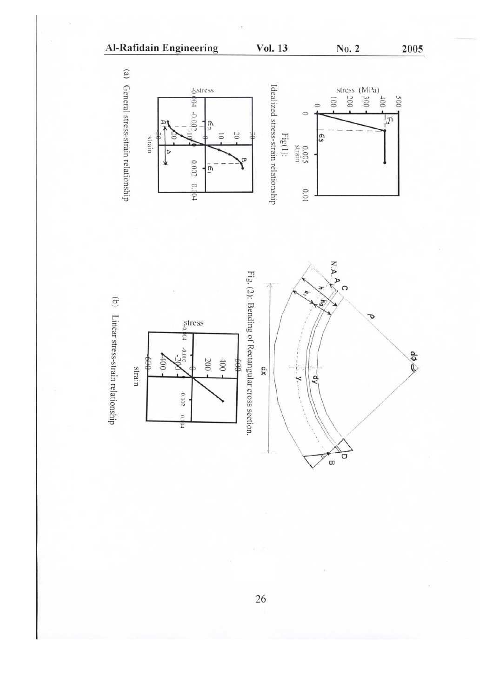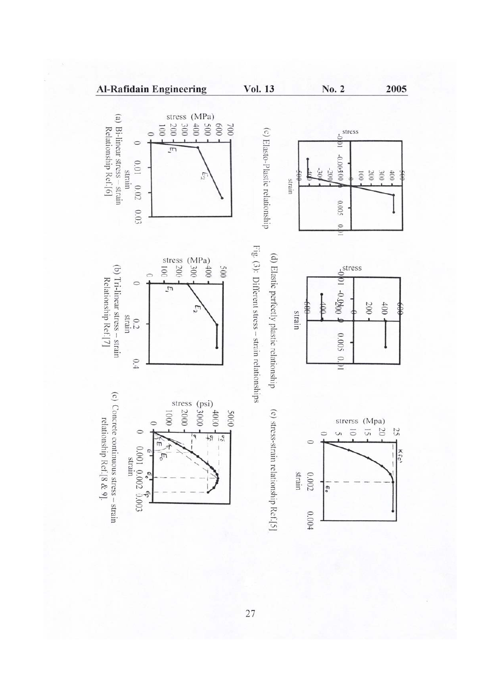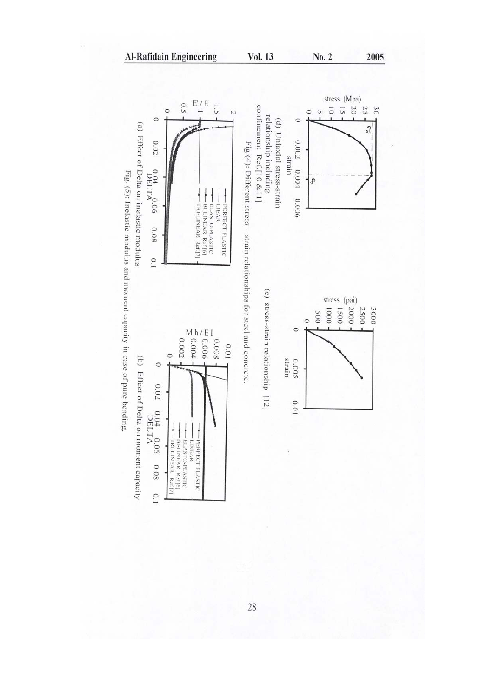

Vol. 13

No. 2

2005

 $\overline{0.1}$ 

Al-Rafidain Engineering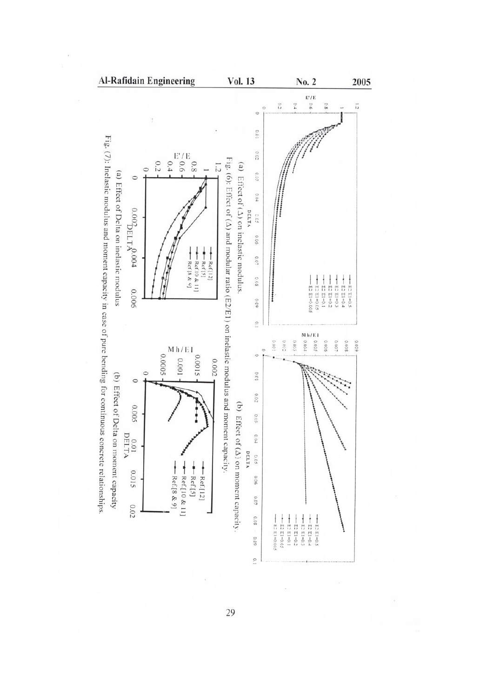

Fig. (7): Inelastic modulus and moment capacity in case of pure bending for continuous concrete relationships.

29

 $\frac{1}{2}$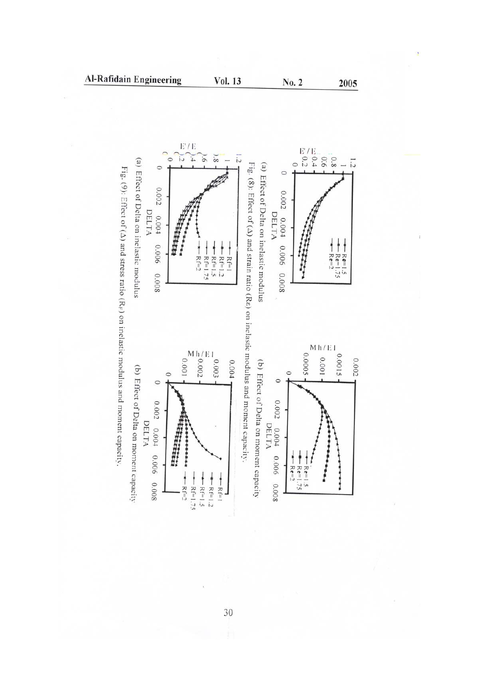

**Al-Rafidain Engineering** 

Vol. 13

2005

No. 2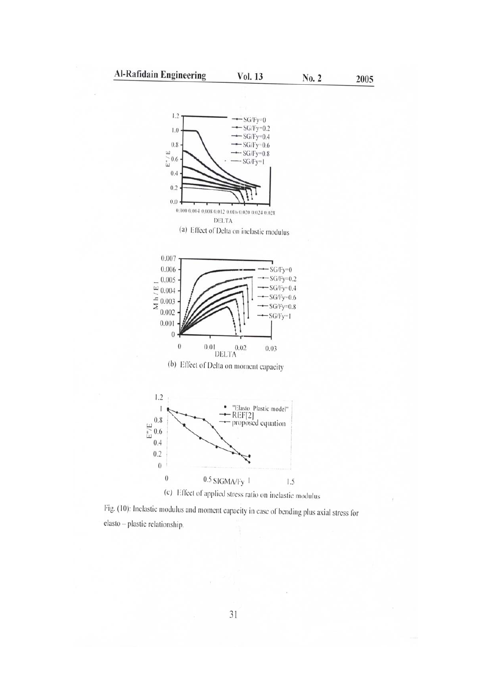No. 2

2005





Fig. (10): Inelastic modulus and moment capacity in case of bending plus axial stress for elasto - plastic relationship.